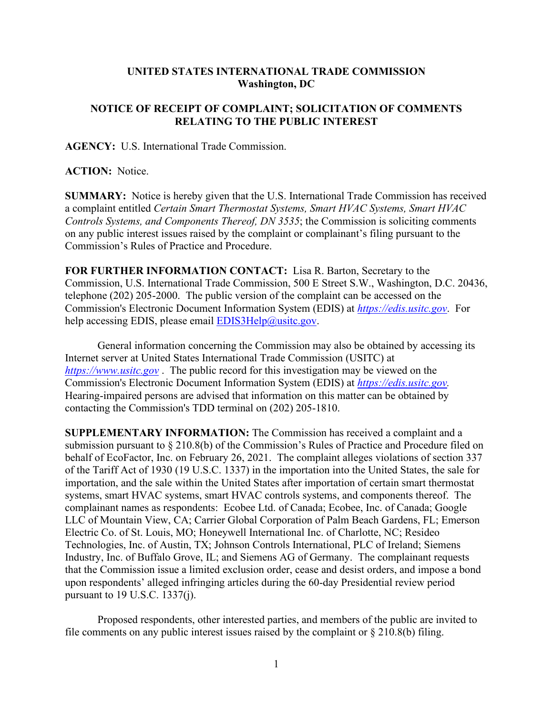## **UNITED STATES INTERNATIONAL TRADE COMMISSION Washington, DC**

## **NOTICE OF RECEIPT OF COMPLAINT; SOLICITATION OF COMMENTS RELATING TO THE PUBLIC INTEREST**

**AGENCY:** U.S. International Trade Commission.

**ACTION:** Notice.

**SUMMARY:** Notice is hereby given that the U.S. International Trade Commission has received a complaint entitled *Certain Smart Thermostat Systems, Smart HVAC Systems, Smart HVAC Controls Systems, and Components Thereof, DN 3535*; the Commission is soliciting comments on any public interest issues raised by the complaint or complainant's filing pursuant to the Commission's Rules of Practice and Procedure.

**FOR FURTHER INFORMATION CONTACT:** Lisa R. Barton, Secretary to the Commission, U.S. International Trade Commission, 500 E Street S.W., Washington, D.C. 20436, telephone (202) 205-2000. The public version of the complaint can be accessed on the Commission's Electronic Document Information System (EDIS) at *[https://edis.usitc.gov](https://edis.usitc.gov/)*. For help accessing EDIS, please email  $EDIS3Help@usite.gov$ .

General information concerning the Commission may also be obtained by accessing its Internet server at United States International Trade Commission (USITC) at *[https://www.usitc.gov](https://www.usitc.gov/)* . The public record for this investigation may be viewed on the Commission's Electronic Document Information System (EDIS) at *[https://edis.usitc.gov.](https://edis.usitc.gov/)* Hearing-impaired persons are advised that information on this matter can be obtained by contacting the Commission's TDD terminal on (202) 205-1810.

**SUPPLEMENTARY INFORMATION:** The Commission has received a complaint and a submission pursuant to § 210.8(b) of the Commission's Rules of Practice and Procedure filed on behalf of EcoFactor, Inc. on February 26, 2021. The complaint alleges violations of section 337 of the Tariff Act of 1930 (19 U.S.C. 1337) in the importation into the United States, the sale for importation, and the sale within the United States after importation of certain smart thermostat systems, smart HVAC systems, smart HVAC controls systems, and components thereof. The complainant names as respondents: Ecobee Ltd. of Canada; Ecobee, Inc. of Canada; Google LLC of Mountain View, CA; Carrier Global Corporation of Palm Beach Gardens, FL; Emerson Electric Co. of St. Louis, MO; Honeywell International Inc. of Charlotte, NC; Resideo Technologies, Inc. of Austin, TX; Johnson Controls International, PLC of Ireland; Siemens Industry, Inc. of Buffalo Grove, IL; and Siemens AG of Germany. The complainant requests that the Commission issue a limited exclusion order, cease and desist orders, and impose a bond upon respondents' alleged infringing articles during the 60-day Presidential review period pursuant to 19 U.S.C. 1337(j).

Proposed respondents, other interested parties, and members of the public are invited to file comments on any public interest issues raised by the complaint or  $\S 210.8(b)$  filing.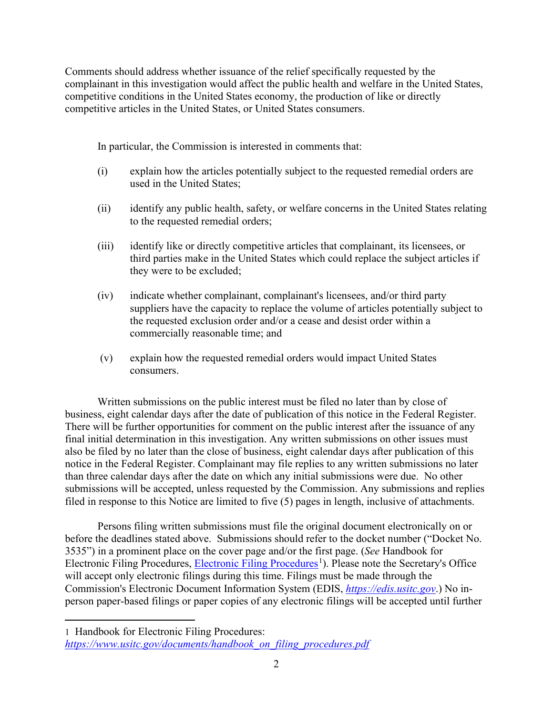Comments should address whether issuance of the relief specifically requested by the complainant in this investigation would affect the public health and welfare in the United States, competitive conditions in the United States economy, the production of like or directly competitive articles in the United States, or United States consumers.

In particular, the Commission is interested in comments that:

- (i) explain how the articles potentially subject to the requested remedial orders are used in the United States;
- (ii) identify any public health, safety, or welfare concerns in the United States relating to the requested remedial orders;
- (iii) identify like or directly competitive articles that complainant, its licensees, or third parties make in the United States which could replace the subject articles if they were to be excluded;
- (iv) indicate whether complainant, complainant's licensees, and/or third party suppliers have the capacity to replace the volume of articles potentially subject to the requested exclusion order and/or a cease and desist order within a commercially reasonable time; and
- (v) explain how the requested remedial orders would impact United States consumers.

Written submissions on the public interest must be filed no later than by close of business, eight calendar days after the date of publication of this notice in the Federal Register. There will be further opportunities for comment on the public interest after the issuance of any final initial determination in this investigation. Any written submissions on other issues must also be filed by no later than the close of business, eight calendar days after publication of this notice in the Federal Register. Complainant may file replies to any written submissions no later than three calendar days after the date on which any initial submissions were due. No other submissions will be accepted, unless requested by the Commission. Any submissions and replies filed in response to this Notice are limited to five (5) pages in length, inclusive of attachments.

Persons filing written submissions must file the original document electronically on or before the deadlines stated above. Submissions should refer to the docket number ("Docket No. 3535") in a prominent place on the cover page and/or the first page. (*See* Handbook for Electronic Filing Procedures, [Electronic Filing Procedures](https://www.usitc.gov/documents/handbook_on_filing_procedures.pdf)<sup>[1](#page-1-0)</sup>). Please note the Secretary's Office will accept only electronic filings during this time. Filings must be made through the Commission's Electronic Document Information System (EDIS, *[https://edis.usitc.gov](https://edis.usitc.gov/)*.) No inperson paper-based filings or paper copies of any electronic filings will be accepted until further

<span id="page-1-0"></span><sup>1</sup> Handbook for Electronic Filing Procedures: *[https://www.usitc.gov/documents/handbook\\_on\\_filing\\_procedures.pdf](https://www.usitc.gov/documents/handbook_on_filing_procedures.pdf)*